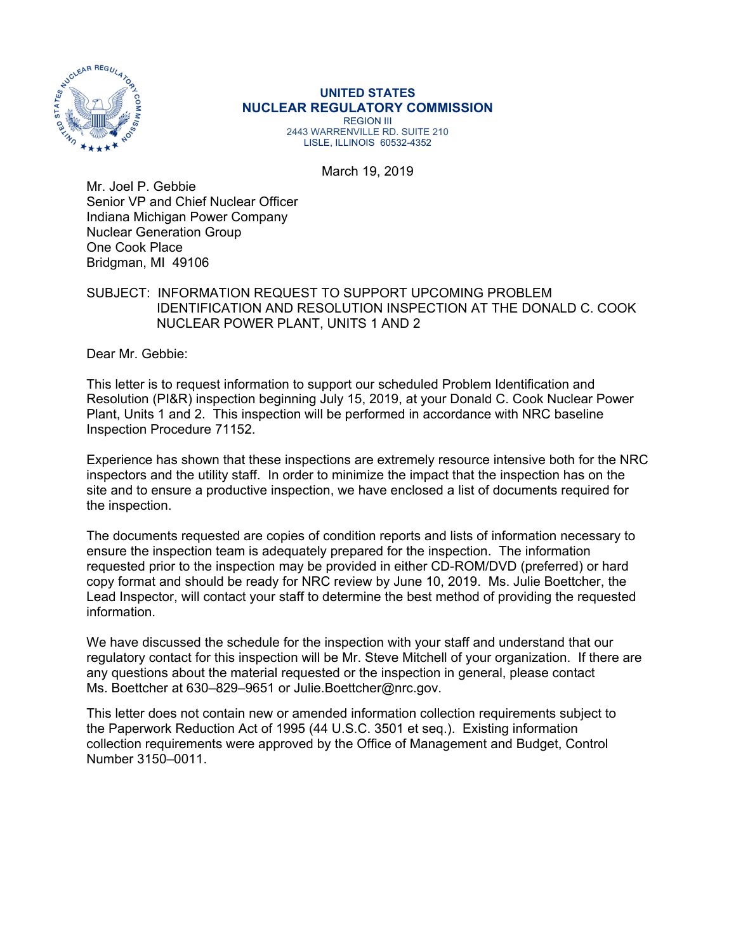

# **UNITED STATES NUCLEAR REGULATORY COMMISSION**

REGION III 2443 WARRENVILLE RD. SUITE 210 LISLE, ILLINOIS 60532-4352

March 19, 2019

Mr. Joel P. Gebbie Senior VP and Chief Nuclear Officer Indiana Michigan Power Company Nuclear Generation Group One Cook Place Bridgman, MI 49106

# SUBJECT: INFORMATION REQUEST TO SUPPORT UPCOMING PROBLEM IDENTIFICATION AND RESOLUTION INSPECTION AT THE DONALD C. COOK NUCLEAR POWER PLANT, UNITS 1 AND 2

Dear Mr. Gebbie:

This letter is to request information to support our scheduled Problem Identification and Resolution (PI&R) inspection beginning July 15, 2019, at your Donald C. Cook Nuclear Power Plant, Units 1 and 2. This inspection will be performed in accordance with NRC baseline Inspection Procedure 71152.

Experience has shown that these inspections are extremely resource intensive both for the NRC inspectors and the utility staff. In order to minimize the impact that the inspection has on the site and to ensure a productive inspection, we have enclosed a list of documents required for the inspection.

The documents requested are copies of condition reports and lists of information necessary to ensure the inspection team is adequately prepared for the inspection. The information requested prior to the inspection may be provided in either CD-ROM/DVD (preferred) or hard copy format and should be ready for NRC review by June 10, 2019. Ms. Julie Boettcher, the Lead Inspector, will contact your staff to determine the best method of providing the requested information.

We have discussed the schedule for the inspection with your staff and understand that our regulatory contact for this inspection will be Mr. Steve Mitchell of your organization. If there are any questions about the material requested or the inspection in general, please contact Ms. Boettcher at 630–829–9651 or Julie.Boettcher@nrc.gov.

This letter does not contain new or amended information collection requirements subject to the Paperwork Reduction Act of 1995 (44 U.S.C. 3501 et seq.). Existing information collection requirements were approved by the Office of Management and Budget, Control Number 3150–0011.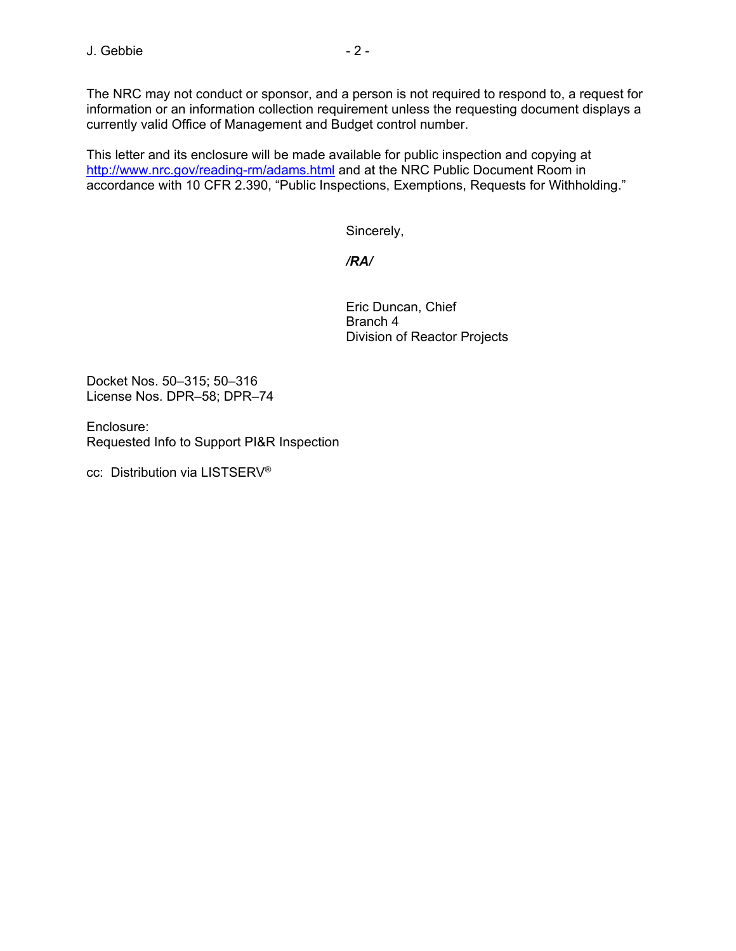The NRC may not conduct or sponsor, and a person is not required to respond to, a request for information or an information collection requirement unless the requesting document displays a currently valid Office of Management and Budget control number.

This letter and its enclosure will be made available for public inspection and copying at http://www.nrc.gov/reading-rm/adams.html and at the NRC Public Document Room in accordance with 10 CFR 2.390, "Public Inspections, Exemptions, Requests for Withholding."

Sincerely,

# */RA/*

Eric Duncan, Chief Branch 4 Division of Reactor Projects

Docket Nos. 50–315; 50–316 License Nos. DPR–58; DPR–74

Enclosure: Requested Info to Support PI&R Inspection

cc: Distribution via LISTSERV®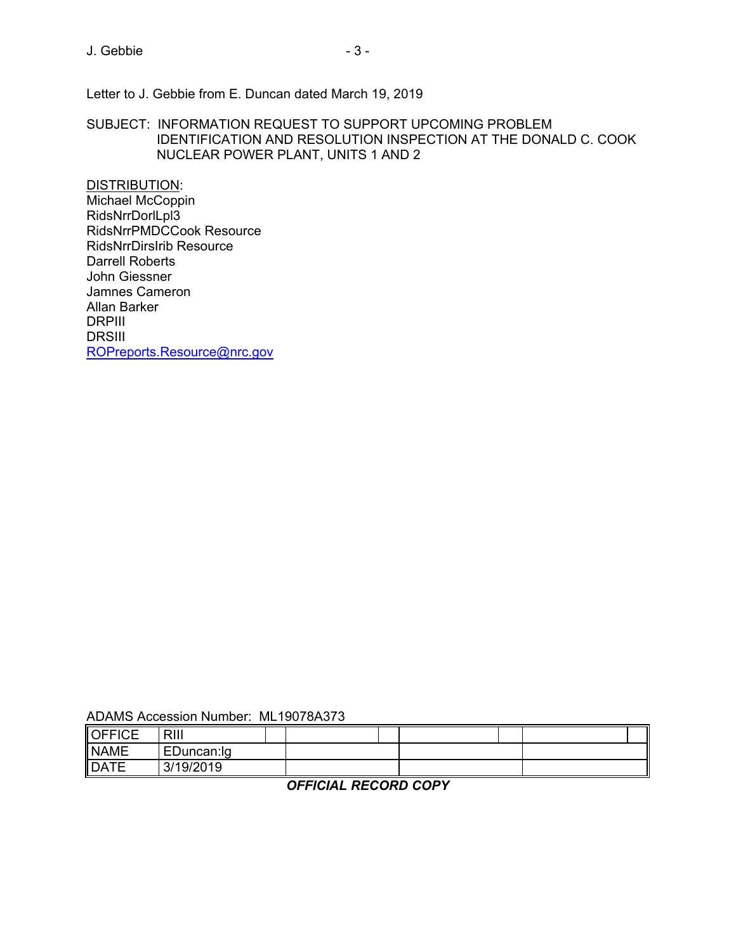Letter to J. Gebbie from E. Duncan dated March 19, 2019

SUBJECT: INFORMATION REQUEST TO SUPPORT UPCOMING PROBLEM IDENTIFICATION AND RESOLUTION INSPECTION AT THE DONALD C. COOK NUCLEAR POWER PLANT, UNITS 1 AND 2

DISTRIBUTION: Michael McCoppin RidsNrrDorlLpl3 RidsNrrPMDCCook Resource RidsNrrDirsIrib Resource Darrell Roberts John Giessner Jamnes Cameron Allan Barker DRPIII DRSIII ROPreports.Resource@nrc.gov

| ADAMS Accession Number: ML19078A373 |  |  |
|-------------------------------------|--|--|
|-------------------------------------|--|--|

| OFFICE            | RIII       |  |  |  |  |
|-------------------|------------|--|--|--|--|
| <b>NAME</b>       | EDuncan:lg |  |  |  |  |
| <b>DATE</b><br>H. | 3/19/2019  |  |  |  |  |

*OFFICIAL RECORD COPY*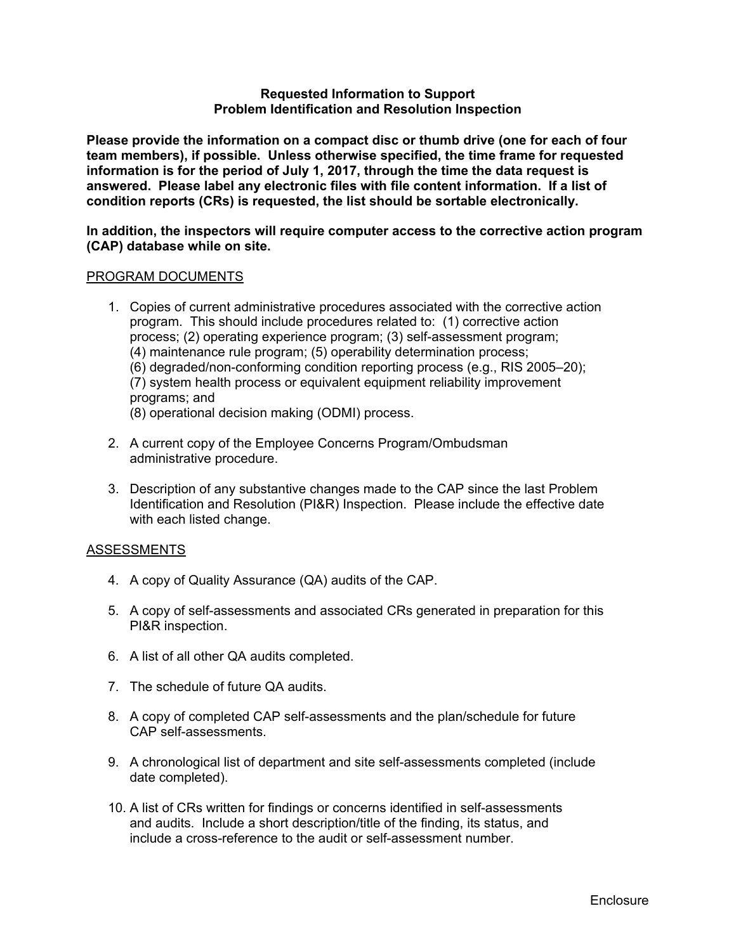#### **Requested Information to Support Problem Identification and Resolution Inspection**

**Please provide the information on a compact disc or thumb drive (one for each of four team members), if possible. Unless otherwise specified, the time frame for requested information is for the period of July 1, 2017, through the time the data request is answered. Please label any electronic files with file content information. If a list of condition reports (CRs) is requested, the list should be sortable electronically.** 

**In addition, the inspectors will require computer access to the corrective action program (CAP) database while on site.** 

### PROGRAM DOCUMENTS

- 1. Copies of current administrative procedures associated with the corrective action program. This should include procedures related to: (1) corrective action process; (2) operating experience program; (3) self-assessment program; (4) maintenance rule program; (5) operability determination process; (6) degraded/non-conforming condition reporting process (e.g., RIS 2005–20); (7) system health process or equivalent equipment reliability improvement programs; and (8) operational decision making (ODMI) process.
- 2. A current copy of the Employee Concerns Program/Ombudsman administrative procedure.
- 3. Description of any substantive changes made to the CAP since the last Problem Identification and Resolution (PI&R) Inspection. Please include the effective date with each listed change.

### ASSESSMENTS

- 4. A copy of Quality Assurance (QA) audits of the CAP.
- 5. A copy of self-assessments and associated CRs generated in preparation for this PI&R inspection.
- 6. A list of all other QA audits completed.
- 7. The schedule of future QA audits.
- 8. A copy of completed CAP self-assessments and the plan/schedule for future CAP self-assessments.
- 9. A chronological list of department and site self-assessments completed (include date completed).
- 10. A list of CRs written for findings or concerns identified in self-assessments and audits. Include a short description/title of the finding, its status, and include a cross-reference to the audit or self-assessment number.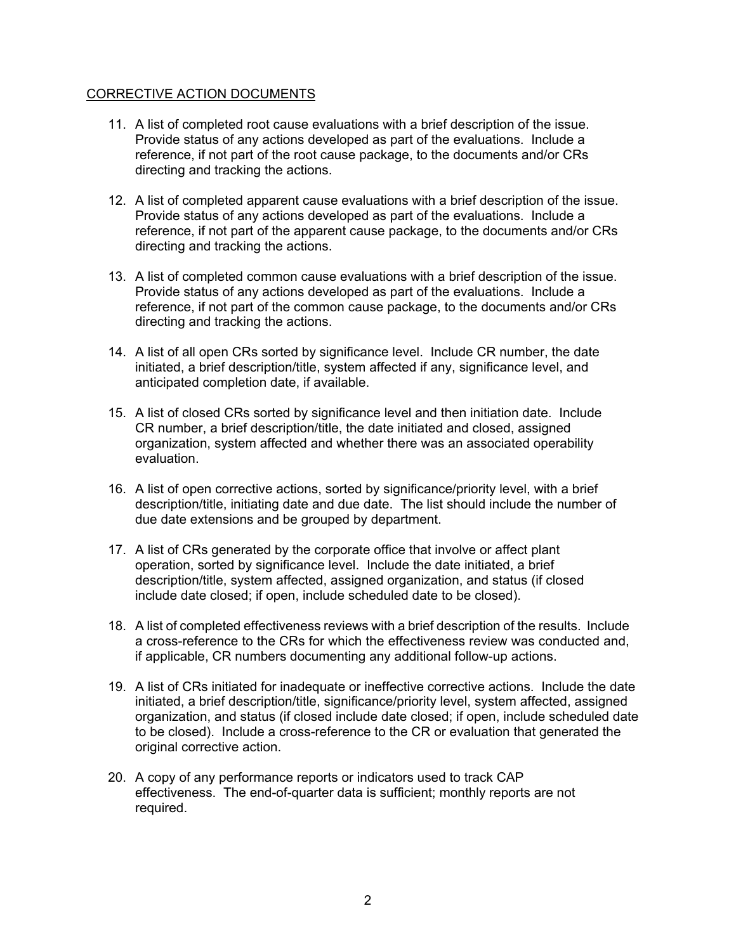## CORRECTIVE ACTION DOCUMENTS

- 11. A list of completed root cause evaluations with a brief description of the issue. Provide status of any actions developed as part of the evaluations. Include a reference, if not part of the root cause package, to the documents and/or CRs directing and tracking the actions.
- 12. A list of completed apparent cause evaluations with a brief description of the issue. Provide status of any actions developed as part of the evaluations. Include a reference, if not part of the apparent cause package, to the documents and/or CRs directing and tracking the actions.
- 13. A list of completed common cause evaluations with a brief description of the issue. Provide status of any actions developed as part of the evaluations. Include a reference, if not part of the common cause package, to the documents and/or CRs directing and tracking the actions.
- 14. A list of all open CRs sorted by significance level. Include CR number, the date initiated, a brief description/title, system affected if any, significance level, and anticipated completion date, if available.
- 15. A list of closed CRs sorted by significance level and then initiation date. Include CR number, a brief description/title, the date initiated and closed, assigned organization, system affected and whether there was an associated operability evaluation.
- 16. A list of open corrective actions, sorted by significance/priority level, with a brief description/title, initiating date and due date. The list should include the number of due date extensions and be grouped by department.
- 17. A list of CRs generated by the corporate office that involve or affect plant operation, sorted by significance level. Include the date initiated, a brief description/title, system affected, assigned organization, and status (if closed include date closed; if open, include scheduled date to be closed).
- 18. A list of completed effectiveness reviews with a brief description of the results. Include a cross-reference to the CRs for which the effectiveness review was conducted and, if applicable, CR numbers documenting any additional follow-up actions.
- 19. A list of CRs initiated for inadequate or ineffective corrective actions. Include the date initiated, a brief description/title, significance/priority level, system affected, assigned organization, and status (if closed include date closed; if open, include scheduled date to be closed). Include a cross-reference to the CR or evaluation that generated the original corrective action.
- 20. A copy of any performance reports or indicators used to track CAP effectiveness. The end-of-quarter data is sufficient; monthly reports are not required.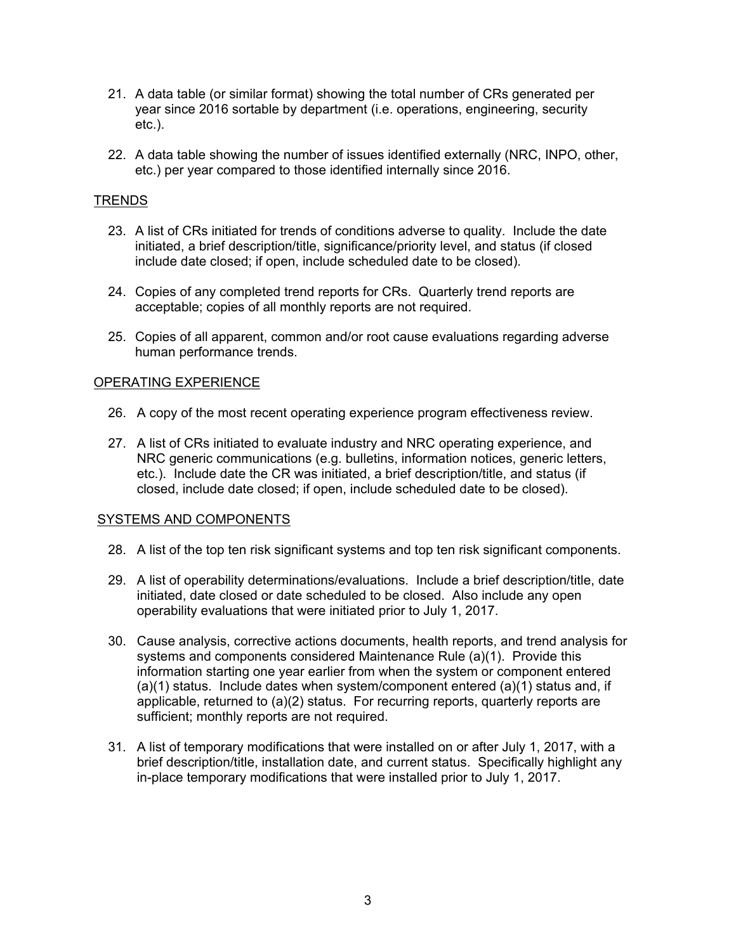- 21. A data table (or similar format) showing the total number of CRs generated per year since 2016 sortable by department (i.e. operations, engineering, security etc.).
- 22. A data table showing the number of issues identified externally (NRC, INPO, other, etc.) per year compared to those identified internally since 2016.

# TRENDS

- 23. A list of CRs initiated for trends of conditions adverse to quality. Include the date initiated, a brief description/title, significance/priority level, and status (if closed include date closed; if open, include scheduled date to be closed).
- 24. Copies of any completed trend reports for CRs. Quarterly trend reports are acceptable; copies of all monthly reports are not required.
- 25. Copies of all apparent, common and/or root cause evaluations regarding adverse human performance trends.

## OPERATING EXPERIENCE

- 26. A copy of the most recent operating experience program effectiveness review.
- 27. A list of CRs initiated to evaluate industry and NRC operating experience, and NRC generic communications (e.g. bulletins, information notices, generic letters, etc.). Include date the CR was initiated, a brief description/title, and status (if closed, include date closed; if open, include scheduled date to be closed).

### SYSTEMS AND COMPONENTS

- 28. A list of the top ten risk significant systems and top ten risk significant components.
- 29. A list of operability determinations/evaluations. Include a brief description/title, date initiated, date closed or date scheduled to be closed. Also include any open operability evaluations that were initiated prior to July 1, 2017.
- 30. Cause analysis, corrective actions documents, health reports, and trend analysis for systems and components considered Maintenance Rule (a)(1). Provide this information starting one year earlier from when the system or component entered (a)(1) status. Include dates when system/component entered (a)(1) status and, if applicable, returned to (a)(2) status. For recurring reports, quarterly reports are sufficient; monthly reports are not required.
- 31. A list of temporary modifications that were installed on or after July 1, 2017, with a brief description/title, installation date, and current status. Specifically highlight any in-place temporary modifications that were installed prior to July 1, 2017.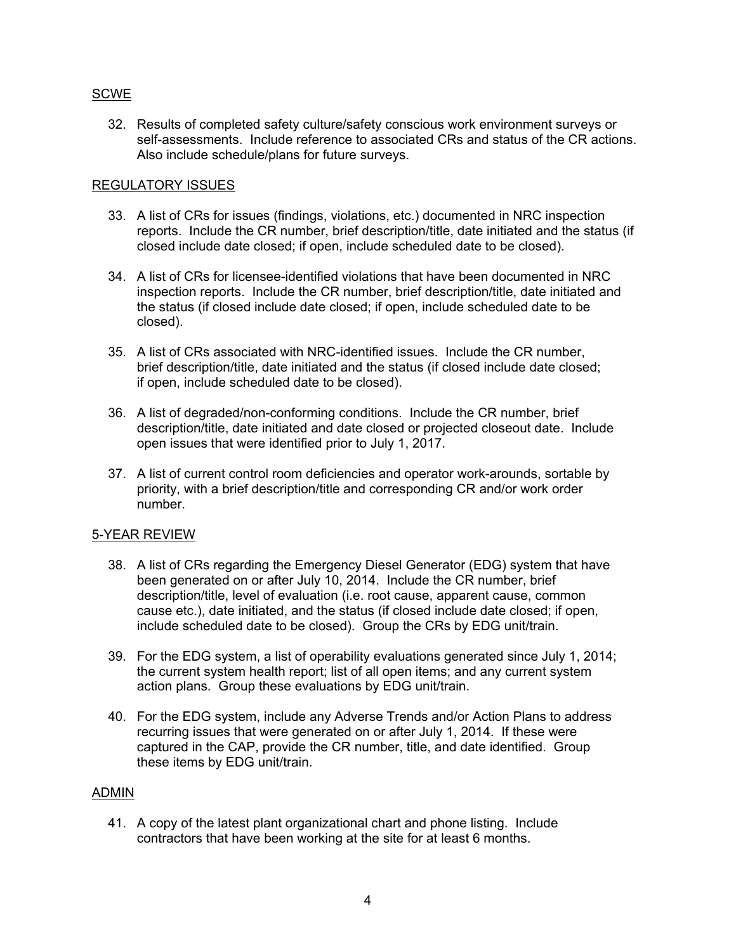# SCWE

32. Results of completed safety culture/safety conscious work environment surveys or self-assessments. Include reference to associated CRs and status of the CR actions. Also include schedule/plans for future surveys.

## REGULATORY ISSUES

- 33. A list of CRs for issues (findings, violations, etc.) documented in NRC inspection reports. Include the CR number, brief description/title, date initiated and the status (if closed include date closed; if open, include scheduled date to be closed).
- 34. A list of CRs for licensee-identified violations that have been documented in NRC inspection reports. Include the CR number, brief description/title, date initiated and the status (if closed include date closed; if open, include scheduled date to be closed).
- 35. A list of CRs associated with NRC-identified issues. Include the CR number, brief description/title, date initiated and the status (if closed include date closed; if open, include scheduled date to be closed).
- 36. A list of degraded/non-conforming conditions. Include the CR number, brief description/title, date initiated and date closed or projected closeout date. Include open issues that were identified prior to July 1, 2017.
- 37. A list of current control room deficiencies and operator work-arounds, sortable by priority, with a brief description/title and corresponding CR and/or work order number.

# 5-YEAR REVIEW

- 38. A list of CRs regarding the Emergency Diesel Generator (EDG) system that have been generated on or after July 10, 2014. Include the CR number, brief description/title, level of evaluation (i.e. root cause, apparent cause, common cause etc.), date initiated, and the status (if closed include date closed; if open, include scheduled date to be closed). Group the CRs by EDG unit/train.
- 39. For the EDG system, a list of operability evaluations generated since July 1, 2014; the current system health report; list of all open items; and any current system action plans. Group these evaluations by EDG unit/train.
- 40. For the EDG system, include any Adverse Trends and/or Action Plans to address recurring issues that were generated on or after July 1, 2014. If these were captured in the CAP, provide the CR number, title, and date identified. Group these items by EDG unit/train.

## ADMIN

41. A copy of the latest plant organizational chart and phone listing. Include contractors that have been working at the site for at least 6 months.